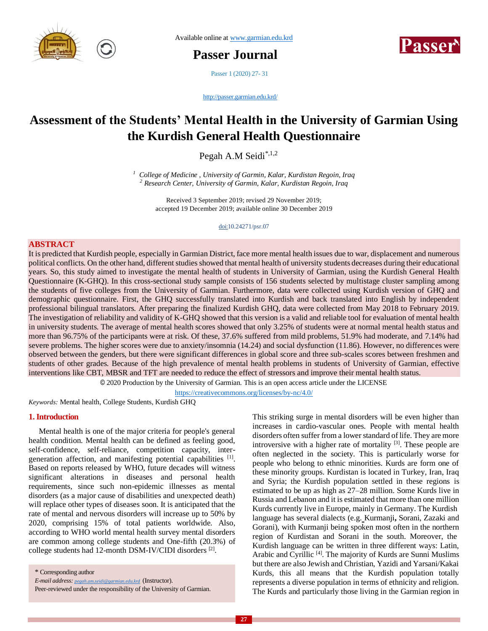

Available online at [www.garmian.edu.krd](http://www.garmian.edu.krd/)

**Passer Journal** 



Passer 1 (2020) 27- 31

<http://passer.garmian.edu.krd/>

# **Assessment of the Students' Mental Health in the University of Garmian Using the Kurdish General Health Questionnaire**

Pegah A.M Seidi\*,1,2

*<sup>1</sup> College of Medicine , University of Garmin, Kalar, Kurdistan Regoin, Iraq <sup>2</sup> Research Center, University of Garmin, Kalar, Kurdistan Regoin, Iraq*

Received 3 September 2019; revised 29 November 2019; accepted 19 December 2019; available online 30 December 2019

doi:10.24271/psr.07

## **ABSTRACT**

It is predicted that Kurdish people, especially in Garmian District, face more mental health issues due to war, displacement and numerous political conflicts. On the other hand, different studies showed that mental health of university students decreases during their educational years. So, this study aimed to investigate the mental health of students in University of Garmian, using the Kurdish General Health Questionnaire (K-GHQ). In this cross-sectional study sample consists of 156 students selected by multistage cluster sampling among the students of five colleges from the University of Garmian. Furthermore, data were collected using Kurdish version of GHQ and demographic questionnaire. First, the GHQ successfully translated into Kurdish and back translated into English by independent professional bilingual translators. After preparing the finalized Kurdish GHQ, data were collected from May 2018 to February 2019. The investigation of reliability and validity of K-GHQ showed that this version is a valid and reliable tool for evaluation of mental health in university students. The average of mental health scores showed that only 3.25% of students were at normal mental health status and more than 96.75% of the participants were at risk. Of these, 37.6% suffered from mild problems, 51.9% had moderate, and 7.14% had severe problems. The higher scores were due to anxiety/insomnia (14.24) and social dysfunction (11.86). However, no differences were observed between the genders, but there were significant differences in global score and three sub-scales scores between freshmen and students of other grades. Because of the high prevalence of mental health problems in students of University of Garmian, effective interventions like CBT, MBSR and TFT are needed to reduce the effect of stressors and improve their mental health status.

© 2020 Production by the University of Garmian. This is an open access article under the LICENSE

<https://creativecommons.org/licenses/by-nc/4.0/>

*Keywords:* Mental health, College Students, Kurdish GHQ

#### **1. Introduction**

 Mental health is one of the major criteria for people's general health condition. Mental health can be defined as feeling good, self-confidence, self-reliance, competition capacity, intergeneration affection, and manifesting potential capabilities [1]. Based on reports released by WHO, future decades will witness significant alterations in diseases and personal health requirements, since such non-epidemic illnesses as mental disorders (as a major cause of disabilities and unexpected death) will replace other types of diseases soon. It is anticipated that the rate of mental and nervous disorders will increase up to 50% by 2020, comprising 15% of total patients worldwide. Also, according to WHO world mental health survey mental disorders are common among college students and One-fifth (20.3%) of college students had 12-month DSM-IV/CIDI disorders [2].

This striking surge in mental disorders will be even higher than increases in cardio-vascular ones. People with mental health disorders often suffer from a lower standard of life. They are more introversive with a higher rate of mortality <sup>[3]</sup>. These people are often neglected in the society. This is particularly worse for people who belong to ethnic minorities. Kurds are form one of these minority groups. Kurdistan is located in Turkey, Iran, Iraq and Syria; the Kurdish population settled in these regions is estimated to be up as high as 27–28 million. Some Kurds live in Russia and Lebanon and it is estimated that more than one million Kurds currently live in Europe, mainly in Germany. The Kurdish language has several dialects (e.g. Kurmanji**,** Sorani, Zazaki and Gorani), with Kurmanji being spoken most often in the northern region of Kurdistan and Sorani in the south. Moreover, the Kurdish language can be written in three different ways: Latin, Arabic and Cyrillic [4]. The majority of Kurds are Sunni Muslims but there are also Jewish and Christian, Yazidi and Yarsani/Kakai Kurds, this all means that the Kurdish population totally represents a diverse population in terms of ethnicity and religion. The Kurds and particularly those living in the Garmian region in

<sup>\*</sup> Corresponding author

*E-mail address: [pegah.am.seidi@garmian.edu.krd](mailto:pegah.am.seidi@garmian.edu.krd)* (Instructor).

Peer-reviewed under the responsibility of the University of Garmian.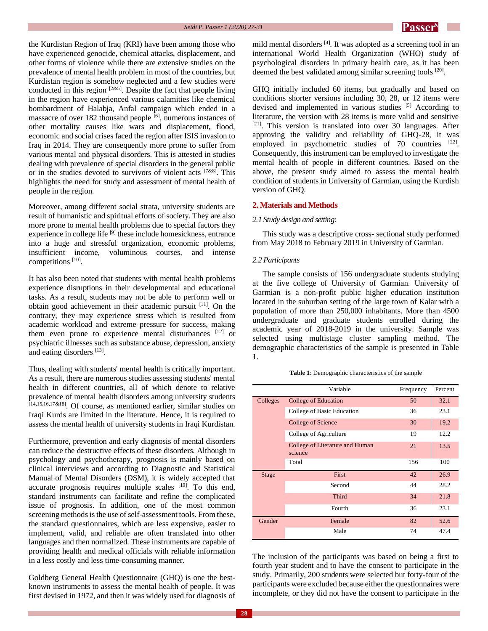

the Kurdistan Region of Iraq (KRI) have been among those who have experienced genocide, chemical attacks, displacement, and other forms of violence while there are extensive studies on the prevalence of mental health problem in most of the countries, but Kurdistan region is somehow neglected and a few studies were conducted in this region  $[2\&5]$ . Despite the fact that people living in the region have experienced various calamities like chemical bombardment of Halabja, Anfal campaign which ended in a massacre of over 182 thousand people  $\overline{[6]}$ , numerous instances of other mortality causes like wars and displacement, flood, economic and social crises faced the region after ISIS invasion to Iraq in 2014. They are consequently more prone to suffer from various mental and physical disorders. This is attested in studies dealing with prevalence of special disorders in the general public or in the studies devoted to survivors of violent acts  $[7\&8]$ . This highlights the need for study and assessment of mental health of people in the region.

Moreover, among different social strata, university students are result of humanistic and spiritual efforts of society. They are also more prone to mental health problems due to special factors they experience in college life  $[9]$  these include homesickness, entrance into a huge and stressful organization, economic problems, insufficient income, voluminous courses, and intense competitions<sup>[10]</sup>.

It has also been noted that students with mental health problems experience disruptions in their developmental and educational tasks. As a result, students may not be able to perform well or obtain good achievement in their academic pursuit [11]. On the contrary, they may experience stress which is resulted from academic workload and extreme pressure for success, making them even prone to experience mental disturbances [12] or psychiatric illnesses such as substance abuse, depression , anxiety and eating disorders [13].

Thus, dealing with students' mental health is critically important. As a result, there are numerous studies assessing students' mental health in different countries, all of which denote to relative prevalence of mental health disorders among university students [14,15,16,17&18]. Of course, as mentioned earlier, similar studies on Iraqi Kurds are limited in the literature. Hence, it is required to assess the mental health of university students in Iraqi Kurdistan.

Furthermore, prevention and early diagnosis of mental disorders can reduce the destructive effects of these disorders. Although in psychology and psychotherapy, prognosis is mainly based on clinical interviews and according to Diagnostic and Statistical Manual of Mental Disorders (DSM), it is widely accepted that accurate prognosis requires multiple scales <sup>[19]</sup>. To this end, standard instruments can facilitate and refine the complicated issue of prognosis. In addition, one of the most common screening methods is the use of self-assessment tools. From these, the standard questionnaires, which are less expensive, easier to implement, valid, and reliable are often translated into other languages and then normalized. These instruments are capable of providing health and medical officials with reliable information in a less costly and less time-consuming manner.

Goldberg General Health Questionnaire (GHQ) is one the bestknown instruments to assess the mental health of people. It was first devised in 1972, and then it was widely used for diagnosis of

mild mental disorders<sup>[4]</sup>. It was adopted as a screening tool in an international World Health Organization (WHO) study of psychological disorders in primary health care, as it has been deemed the best validated among similar screening tools <sup>[20]</sup>.

GHQ initially included 60 items, but gradually and based on conditions shorter versions including 30, 28, or 12 items were devised and implemented in various studies [5] According to literature, the version with 28 items is more valid and sensitive [21]. This version is translated into over 30 languages. After approving the validity and reliability of GHQ-28, it was employed in psychometric studies of  $70$  countries  $[22]$ . Consequently, this instrument can be employed to investigate the mental health of people in different countries. Based on the above, the present study aimed to assess the mental health condition of students in University of Garmian, using the Kurdish version of GHQ.

## **2. Materials and Methods**

#### *2.1 Study design and setting:*

 This study was a descriptive cross- sectional study performed from May 2018 to February 2019 in University of Garmian .

#### *2.2 Participants*

 The sample consists of 156 undergraduate students studying at the five college of University of Garmian. University of Garmian is a non-profit public higher education institution located in the suburban setting of the large town of Kalar with a population of more than 250,000 inhabitants. More than 4500 undergraduate and graduate students enrolled during the academic year of 2018-2019 in the university. Sample was selected using multistage cluster sampling method. The demographic characteristics of the sample is presented in Table 1.

|  |  | Table 1: Demographic characteristics of the sample |  |  |
|--|--|----------------------------------------------------|--|--|
|--|--|----------------------------------------------------|--|--|

|          | Variable                                   | Frequency | Percent |
|----------|--------------------------------------------|-----------|---------|
| Colleges | College of Education                       | 50        | 32.1    |
|          | College of Basic Education                 | 36        | 23.1    |
|          | College of Science                         | 30        | 19.2    |
|          | College of Agriculture                     | 19        | 12.2    |
|          | College of Literature and Human<br>science | 21        | 13.5    |
|          | Total                                      | 156       | 100     |
| Stage    | First                                      | 42        | 26.9    |
|          | Second                                     | 44        | 28.2    |
|          | <b>Third</b>                               | 34        | 21.8    |
|          | Fourth                                     | 36        | 23.1    |
| Gender   | Female                                     | 82        | 52.6    |
|          | Male                                       | 74        | 47.4    |

The inclusion of the participants was based on being a first to fourth year student and to have the consent to participate in the study. Primarily, 200 students were selected but forty-four of the participants were excluded because either the questionnaires were incomplete, or they did not have the consent to participate in the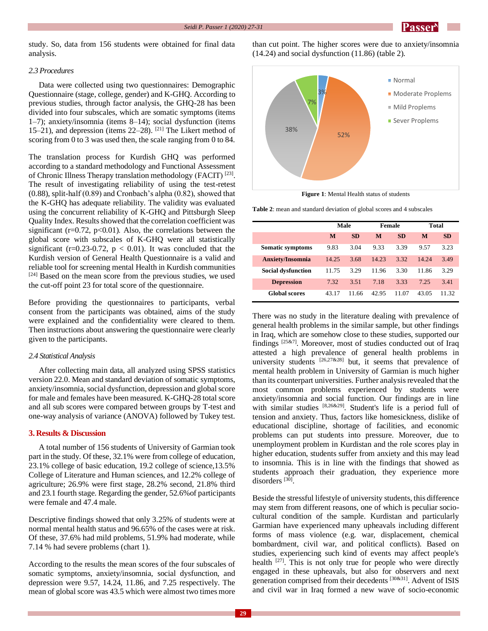

study. So, data from 156 students were obtained for final data analysis.

than cut point. The higher scores were due to anxiety/insomnia (14.24) and social dysfunction (11.86) (table 2).

## *2.3 Procedures*

 Data were collected using two questionnaires: Demographic Questionnaire (stage, college, gender) and K-GHQ. According to previous studies, through factor analysis, the GHQ-28 has been divided into four subscales, which are somatic symptoms (items 1–7); anxiety/insomnia (items 8–14); social dysfunction (items 15–21), and depression (items  $22-28$ ). <sup>[21]</sup> The Likert method of scoring from 0 to 3 was used then, the scale ranging from 0 to 84.

The translation process for Kurdish GHQ was performed according to a standard methodology and Functional Assessment of Chronic Illness Therapy translation methodology (FACIT)<sup>[23]</sup>. The result of investigating reliability of using the test-retest (0.88), split-half (0.89) and Cronbach's alpha (0.82), showed that the K-GHQ has adequate reliability. The validity was evaluated using the concurrent reliability of K-GHQ and Pittsburgh Sleep Quality Index. Results showed that the correlation coefficient was significant ( $r=0.72$ ,  $p<0.01$ ). Also, the correlations between the global score with subscales of K-GHQ were all statistically significant (r=0.23-0.72,  $p < 0.01$ ). It was concluded that the Kurdish version of General Health Questionnaire is a valid and reliable tool for screening mental Health in Kurdish communities [24] Based on the mean score from the previous studies, we used the cut-off point 23 for total score of the questionnaire.

Before providing the questionnaires to participants, verbal consent from the participants was obtained, aims of the study were explained and the confidentiality were cleared to them. Then instructions about answering the questionnaire were clearly given to the participants.

#### *2.4 Statistical Analysis*

 After collecting main data, all analyzed using SPSS statistics version 22.0. Mean and standard deviation of somatic symptoms, anxiety/insomnia, social dysfunction, depression and global score for male and females have been measured. K-GHQ-28 total score and all sub scores were compared between groups by T-test and one-way analysis of variance (ANOVA) followed by Tukey test.

## **3. Results & Discussion**

 A total number of 156 students of University of Garmian took part in the study. Of these, 32.1% were from college of education, 23.1% college of basic education, 19.2 college of science,13.5% College of Literature and Human sciences, and 12.2% college of agriculture; 26.9% were first stage, 28.2% second, 21.8% third and 23.1 fourth stage. Regarding the gender, 52.6%of participants were female and 47.4 male.

Descriptive findings showed that only 3.25% of students were at normal mental health status and 96.65% of the cases were at risk. Of these, 37.6% had mild problems, 51.9% had moderate, while 7.14 % had severe problems (chart 1).

According to the results the mean scores of the four subscales of somatic symptoms, anxiety/insomnia, social dysfunction, and depression were 9.57, 14.24, 11.86, and 7.25 respectively. The mean of global score was 43.5 which were almost two times more



**Figure 1**: Mental Health status of students

**Table 2**: mean and standard deviation of global scores and 4 subscales

|                           | Male  |           | <b>Female</b> |           | Total |           |
|---------------------------|-------|-----------|---------------|-----------|-------|-----------|
|                           | M     | <b>SD</b> | M             | <b>SD</b> | M     | <b>SD</b> |
| Somatic symptoms          | 9.83  | 3.04      | 9.33          | 3.39      | 9.57  | 3.23      |
| <b>Anxiety/Insomnia</b>   | 14.25 | 3.68      | 14.23         | 3.32      | 14.24 | 3.49      |
| <b>Social dysfunction</b> | 11.75 | 3.29      | 11.96         | 3.30      | 11.86 | 3.29      |
| <b>Depression</b>         | 7.32  | 3.51      | 7.18          | 3.33      | 7.25  | 3.41      |
| <b>Global scores</b>      | 43.17 | 11.66     | 42.95         | 11.07     | 43.05 | 11.32     |

There was no study in the literature dealing with prevalence of general health problems in the similar sample, but other findings in Iraq, which are somehow close to these studies, supported our findings  $[25\&7]$ . Moreover, most of studies conducted out of Iraq attested a high prevalence of general health problems in university students  $[26,278,28]$  but, it seems that prevalence of mental health problem in University of Garmian is much higher than its counterpart universities. Further analysis revealed that the most common problems experienced by students were anxiety/insomnia and social function. Our findings are in line with similar studies [8,26&29]. Student's life is a period full of tension and anxiety. Thus, factors like homesickness, dislike of educational discipline, shortage of facilities, and economic problems can put students into pressure. Moreover, due to unemployment problem in Kurdistan and the role scores play in higher education, students suffer from anxiety and this may lead to insomnia. This is in line with the findings that showed as students approach their graduation, they experience more disorders<sup>[30]</sup>.

Beside the stressful lifestyle of university students, this difference may stem from different reasons, one of which is peculiar sociocultural condition of the sample. Kurdistan and particularly Garmian have experienced many upheavals including different forms of mass violence (e.g. war, displacement, chemical bombardment, civil war, and political conflicts). Based on studies, experiencing such kind of events may affect people's health  $[27]$ . This is not only true for people who were directly engaged in these upheavals, but also for observers and next generation comprised from their decedents [30&31]. Advent of ISIS and civil war in Iraq formed a new wave of socio-economic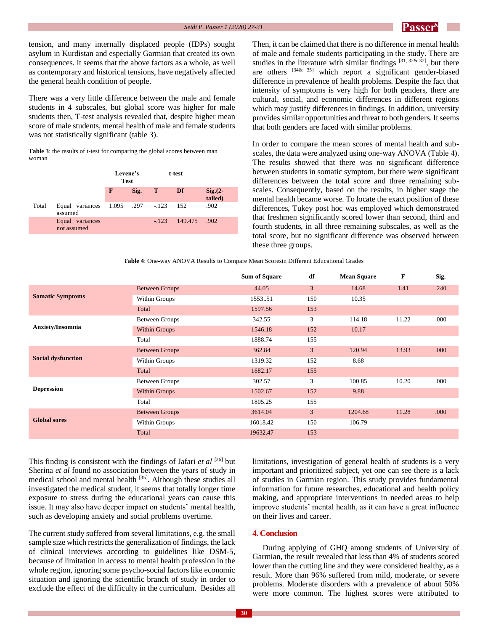tension, and many internally displaced people (IDPs) sought asylum in Kurdistan and especially Garmian that created its own consequences. It seems that the above factors as a whole, as well as contemporary and historical tensions, have negatively affected the general health condition of people.

There was a very little difference between the male and female students in 4 subscales, but global score was higher for male students then, T-test analysis revealed that, despite higher mean score of male students, mental health of male and female students was not statistically significant (table 3).

**Table 3**: the results of t-test for comparing the global scores between man woman

|       |                                            | Levene's<br><b>Test</b> |      | t-test       |              |                        |
|-------|--------------------------------------------|-------------------------|------|--------------|--------------|------------------------|
|       |                                            | F                       | Sig. | $\mathbf{T}$ | Df           | $Sig. (2 -$<br>tailed) |
| Total | Equal variances 1.095 .297 -123<br>assumed |                         |      |              | 152          | .902                   |
|       | Equal variances<br>not assumed             |                         |      | $-123$       | 149.475 .902 |                        |

Then, it can be claimed that there is no difference in mental health of male and female students participating in the study. There are studies in the literature with similar findings  $[31, 32\&32]$ , but there are others [34& 35] which report a significant gender-biased difference in prevalence of health problems. Despite the fact that intensity of symptoms is very high for both genders, there are cultural, social, and economic differences in different regions which may justify differences in findings. In addition, university provides similar opportunities and threat to both genders. It seems that both genders are faced with similar problems.

In order to compare the mean scores of mental health and subscales, the data were analyzed using one-way ANOVA (Table 4). The results showed that there was no significant difference between students in somatic symptom, but there were significant differences between the total score and three remaining subscales. Consequently, based on the results, in higher stage the mental health became worse. To locate the exact position of these differences, Tukey post hoc was employed which demonstrated that freshmen significantly scored lower than second, third and fourth students, in all three remaining subscales, as well as the total score, but no significant difference was observed between these three groups.

**Table 4**: One-way ANOVA Results to Compare Mean Scoresin Different Educational Grades

|                           |                       | <b>Sum of Square</b> | df             | <b>Mean Square</b> | F     | Sig. |
|---------------------------|-----------------------|----------------------|----------------|--------------------|-------|------|
|                           | <b>Between Groups</b> | 44.05                | $\overline{3}$ | 14.68              | 1.41  | .240 |
| <b>Somatic Symptoms</b>   | Within Groups         | 155351               | 150            | 10.35              |       |      |
|                           | Total                 | 1597.56              | 153            |                    |       |      |
|                           | Between Groups        | 342.55               | 3              | 114.18             | 11.22 | .000 |
| <b>Anxiety/Insomnia</b>   | <b>Within Groups</b>  | 1546.18              | 152            | 10.17              |       |      |
|                           | Total                 | 1888.74              | 155            |                    |       |      |
|                           | <b>Between Groups</b> | 362.84               | $\overline{3}$ | 120.94             | 13.93 | .000 |
| <b>Social dysfunction</b> | Within Groups         | 1319.32              | 152            | 8.68               |       |      |
|                           | Total                 | 1682.17              | 155            |                    |       |      |
|                           | Between Groups        | 302.57               | 3              | 100.85             | 10.20 | .000 |
| <b>Depression</b>         | Within Groups         | 1502.67              | 152            | 9.88               |       |      |
|                           | Total                 | 1805.25              | 155            |                    |       |      |
|                           | <b>Between Groups</b> | 3614.04              | 3 <sup>1</sup> | 1204.68            | 11.28 | .000 |
| <b>Global sores</b>       | Within Groups         | 16018.42             | 150            | 106.79             |       |      |
|                           | Total                 | 19632.47             | 153            |                    |       |      |

This finding is consistent with the findings of Jafari *et al* [26] but Sherina *et al* found no association between the years of study in medical school and mental health [35]. Although these studies all investigated the medical student, it seems that totally longer time exposure to stress during the educational years can cause this issue. It may also have deeper impact on students' mental health, such as developing anxiety and social problems overtime.

The current study suffered from several limitations, e.g. the small sample size which restricts the generalization of findings, the lack of clinical interviews according to guidelines like DSM-5, because of limitation in access to mental health profession in the whole region, ignoring some psycho-social factors like economic situation and ignoring the scientific branch of study in order to exclude the effect of the difficulty in the curriculum. Besides all limitations, investigation of general health of students is a very important and prioritized subject, yet one can see there is a lack of studies in Garmian region. This study provides fundamental information for future researches, educational and health policy making, and appropriate interventions in needed areas to help improve students' mental health, as it can have a great influence on their lives and career.

#### **4. Conclusion**

 During applying of GHQ among students of University of Garmian, the result revealed that less than 4% of students scored lower than the cutting line and they were considered healthy, as a result. More than 96% suffered from mild, moderate, or severe problems. Moderate disorders with a prevalence of about 50% were more common. The highest scores were attributed to